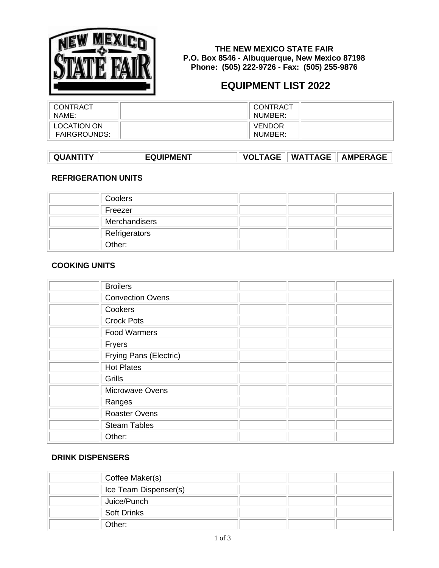

**THE NEW MEXICO STATE FAIR P.O. Box 8546 - Albuquerque, New Mexico 87198 Phone: (505) 222-9726 - Fax: (505) 255-9876**

# **EQUIPMENT LIST 2022**

| CONTRACT            | CONTRACT      |
|---------------------|---------------|
| NAME:               | NUMBER:       |
| LOCATION ON         | <b>VENDOR</b> |
| <b>FAIRGROUNDS:</b> | NUMBER:       |

| <b>EQUIPMENT</b><br>QUANTITY |  |  | VOLTAGE    WATTAGE    AMPERAGE |
|------------------------------|--|--|--------------------------------|
|------------------------------|--|--|--------------------------------|

#### **REFRIGERATION UNITS**

| Coolers       |  |  |
|---------------|--|--|
| Freezer       |  |  |
| Merchandisers |  |  |
| Refrigerators |  |  |
| Other:        |  |  |

#### **COOKING UNITS**

| <b>Broilers</b>         |  |
|-------------------------|--|
| <b>Convection Ovens</b> |  |
| Cookers                 |  |
| <b>Crock Pots</b>       |  |
| <b>Food Warmers</b>     |  |
| Fryers                  |  |
| Frying Pans (Electric)  |  |
| <b>Hot Plates</b>       |  |
| Grills                  |  |
| Microwave Ovens         |  |
| Ranges                  |  |
| <b>Roaster Ovens</b>    |  |
| <b>Steam Tables</b>     |  |
| Other:                  |  |

#### **DRINK DISPENSERS**

| Coffee Maker(s)       |  |
|-----------------------|--|
| Ice Team Dispenser(s) |  |
| Juice/Punch           |  |
| <b>Soft Drinks</b>    |  |
| Other:                |  |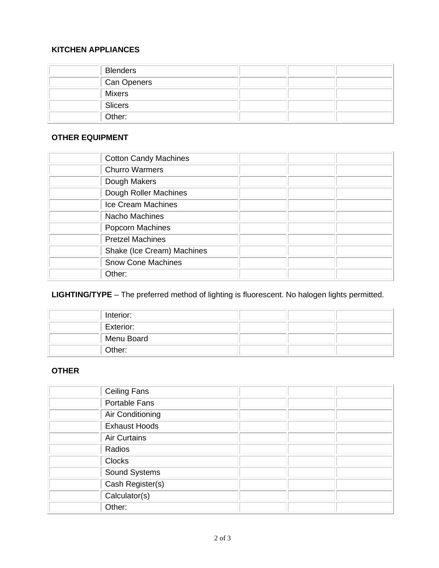#### **KITCHEN APPLIANCES**

| <b>Blenders</b> |  |  |
|-----------------|--|--|
| Can Openers     |  |  |
| Mixers          |  |  |
| Slicers         |  |  |
| Other:          |  |  |

## **OTHER EQUIPMENT**

| <b>Cotton Candy Machines</b> |  |
|------------------------------|--|
| <b>Churro Warmers</b>        |  |
| Dough Makers                 |  |
| Dough Roller Machines        |  |
| Ice Cream Machines           |  |
| Nacho Machines               |  |
| Popcorn Machines             |  |
| <b>Pretzel Machines</b>      |  |
| Shake (Ice Cream) Machines   |  |
| <b>Snow Cone Machines</b>    |  |
| Other:                       |  |

## **LIGHTING/TYPE** – The preferred method of lighting is fluorescent. No halogen lights permitted.

| Interior:  |  |  |
|------------|--|--|
| Exterior:  |  |  |
| Menu Board |  |  |
| Other:     |  |  |

## **OTHER**

| <b>Ceiling Fans</b>  |  |
|----------------------|--|
| Portable Fans        |  |
| Air Conditioning     |  |
| <b>Exhaust Hoods</b> |  |
| <b>Air Curtains</b>  |  |
| Radios               |  |
| <b>Clocks</b>        |  |
| Sound Systems        |  |
| Cash Register(s)     |  |
| Calculator(s)        |  |
| Other:               |  |